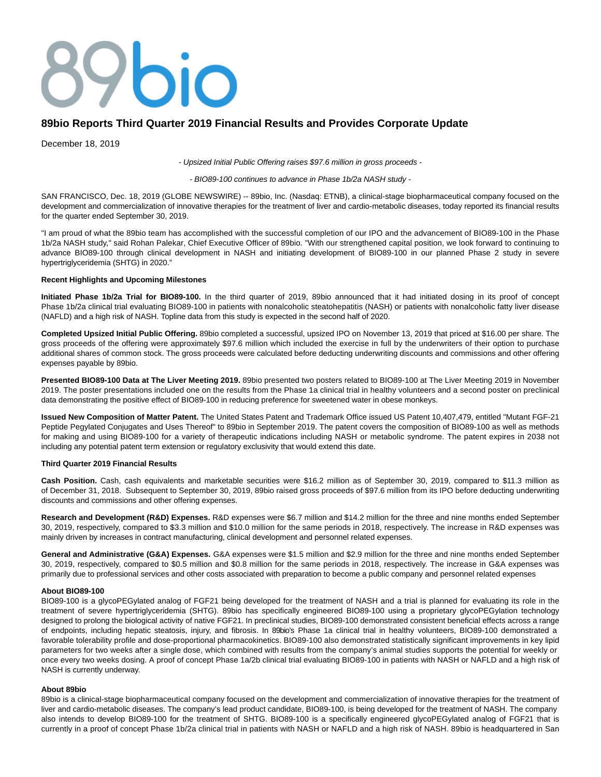# $7000$

# **89bio Reports Third Quarter 2019 Financial Results and Provides Corporate Update**

December 18, 2019

- Upsized Initial Public Offering raises \$97.6 million in gross proceeds -

- BIO89-100 continues to advance in Phase 1b/2a NASH study -

SAN FRANCISCO, Dec. 18, 2019 (GLOBE NEWSWIRE) -- 89bio, Inc. (Nasdaq: ETNB), a clinical-stage biopharmaceutical company focused on the development and commercialization of innovative therapies for the treatment of liver and cardio-metabolic diseases, today reported its financial results for the quarter ended September 30, 2019.

"I am proud of what the 89bio team has accomplished with the successful completion of our IPO and the advancement of BIO89-100 in the Phase 1b/2a NASH study," said Rohan Palekar, Chief Executive Officer of 89bio. "With our strengthened capital position, we look forward to continuing to advance BIO89-100 through clinical development in NASH and initiating development of BIO89-100 in our planned Phase 2 study in severe hypertriglyceridemia (SHTG) in 2020."

## **Recent Highlights and Upcoming Milestones**

**Initiated Phase 1b/2a Trial for BIO89-100.** In the third quarter of 2019, 89bio announced that it had initiated dosing in its proof of concept Phase 1b/2a clinical trial evaluating BIO89-100 in patients with nonalcoholic steatohepatitis (NASH) or patients with nonalcoholic fatty liver disease (NAFLD) and a high risk of NASH. Topline data from this study is expected in the second half of 2020.

**Completed Upsized Initial Public Offering.** 89bio completed a successful, upsized IPO on November 13, 2019 that priced at \$16.00 per share. The gross proceeds of the offering were approximately \$97.6 million which included the exercise in full by the underwriters of their option to purchase additional shares of common stock. The gross proceeds were calculated before deducting underwriting discounts and commissions and other offering expenses payable by 89bio.

**Presented BIO89-100 Data at The Liver Meeting 2019.** 89bio presented two posters related to BIO89-100 at The Liver Meeting 2019 in November 2019. The poster presentations included one on the results from the Phase 1a clinical trial in healthy volunteers and a second poster on preclinical data demonstrating the positive effect of BIO89-100 in reducing preference for sweetened water in obese monkeys.

**Issued New Composition of Matter Patent.** The United States Patent and Trademark Office issued US Patent 10,407,479, entitled "Mutant FGF-21 Peptide Pegylated Conjugates and Uses Thereof" to 89bio in September 2019. The patent covers the composition of BIO89-100 as well as methods for making and using BIO89-100 for a variety of therapeutic indications including NASH or metabolic syndrome. The patent expires in 2038 not including any potential patent term extension or regulatory exclusivity that would extend this date.

## **Third Quarter 2019 Financial Results**

**Cash Position.** Cash, cash equivalents and marketable securities were \$16.2 million as of September 30, 2019, compared to \$11.3 million as of December 31, 2018. Subsequent to September 30, 2019, 89bio raised gross proceeds of \$97.6 million from its IPO before deducting underwriting discounts and commissions and other offering expenses.

**Research and Development (R&D) Expenses.** R&D expenses were \$6.7 million and \$14.2 million for the three and nine months ended September 30, 2019, respectively, compared to \$3.3 million and \$10.0 million for the same periods in 2018, respectively. The increase in R&D expenses was mainly driven by increases in contract manufacturing, clinical development and personnel related expenses.

**General and Administrative (G&A) Expenses.** G&A expenses were \$1.5 million and \$2.9 million for the three and nine months ended September 30, 2019, respectively, compared to \$0.5 million and \$0.8 million for the same periods in 2018, respectively. The increase in G&A expenses was primarily due to professional services and other costs associated with preparation to become a public company and personnel related expenses

## **About BIO89-100**

BIO89-100 is a glycoPEGylated analog of FGF21 being developed for the treatment of NASH and a trial is planned for evaluating its role in the treatment of severe hypertriglyceridemia (SHTG). 89bio has specifically engineered BIO89-100 using a proprietary glycoPEGylation technology designed to prolong the biological activity of native FGF21. In preclinical studies, BIO89-100 demonstrated consistent beneficial effects across a range of endpoints, including hepatic steatosis, injury, and fibrosis. In 89bio's Phase 1a clinical trial in healthy volunteers, BIO89-100 demonstrated a favorable tolerability profile and dose-proportional pharmacokinetics. BIO89-100 also demonstrated statistically significant improvements in key lipid parameters for two weeks after a single dose, which combined with results from the company's animal studies supports the potential for weekly or once every two weeks dosing. A proof of concept Phase 1a/2b clinical trial evaluating BIO89-100 in patients with NASH or NAFLD and a high risk of NASH is currently underway.

# **About 89bio**

89bio is a clinical-stage biopharmaceutical company focused on the development and commercialization of innovative therapies for the treatment of liver and cardio-metabolic diseases. The company's lead product candidate, BIO89-100, is being developed for the treatment of NASH. The company also intends to develop BIO89-100 for the treatment of SHTG. BIO89-100 is a specifically engineered glycoPEGylated analog of FGF21 that is currently in a proof of concept Phase 1b/2a clinical trial in patients with NASH or NAFLD and a high risk of NASH. 89bio is headquartered in San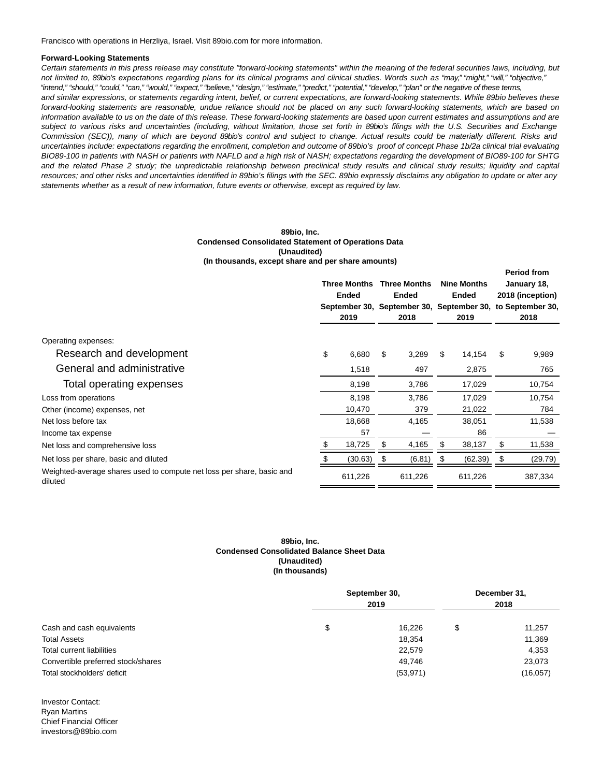Francisco with operations in Herzliya, Israel. Visit 89bio.com for more information.

#### **Forward-Looking Statements**

Certain statements in this press release may constitute "forward-looking statements" within the meaning of the federal securities laws, including, but not limited to, 89bio's expectations regarding plans for its clinical programs and clinical studies. Words such as "may," "might," "will," "objective," "intend," "should," "could," "can," "would," "expect," "believe," "design," "estimate," "predict," "potential," "develop," "plan" or the negative of these terms, and similar expressions, or statements regarding intent, belief, or current expectations, are forward-looking statements. While 89bio believes these forward-looking statements are reasonable, undue reliance should not be placed on any such forward-looking statements, which are based on information available to us on the date of this release. These forward-looking statements are based upon current estimates and assumptions and are subject to various risks and uncertainties (including, without limitation, those set forth in 89bio's filings with the U.S. Securities and Exchange Commission (SEC)), many of which are beyond 89bio's control and subject to change. Actual results could be materially different. Risks and uncertainties include: expectations regarding the enrollment, completion and outcome of 89bio's proof of concept Phase 1b/2a clinical trial evaluating BIO89-100 in patients with NASH or patients with NAFLD and a high risk of NASH; expectations regarding the development of BIO89-100 for SHTG and the related Phase 2 study; the unpredictable relationship between preclinical study results and clinical study results; liquidity and capital resources; and other risks and uncertainties identified in 89bio's filings with the SEC. 89bio expressly disclaims any obligation to update or alter any statements whether as a result of new information, future events or otherwise, except as required by law.

#### **89bio, Inc. Condensed Consolidated Statement of Operations Data (Unaudited) (In thousands, except share and per share amounts)**

|                                                                                  | <b>Three Months</b><br><b>Ended</b><br>2019 |         | <b>Three Months</b><br><b>Ended</b><br>September 30, September 30, September 30,<br>2018 |         | <b>Nine Months</b><br>Ended<br>2019 |         | <b>Period from</b><br>January 18,<br>2018 (inception)<br>to September 30,<br>2018 |         |
|----------------------------------------------------------------------------------|---------------------------------------------|---------|------------------------------------------------------------------------------------------|---------|-------------------------------------|---------|-----------------------------------------------------------------------------------|---------|
| Operating expenses:                                                              |                                             |         |                                                                                          |         |                                     |         |                                                                                   |         |
| Research and development                                                         | \$                                          | 6,680   | \$                                                                                       | 3,289   | \$                                  | 14,154  | \$                                                                                | 9,989   |
| General and administrative                                                       |                                             | 1,518   |                                                                                          | 497     |                                     | 2,875   |                                                                                   | 765     |
| Total operating expenses                                                         |                                             | 8,198   |                                                                                          | 3,786   |                                     | 17,029  |                                                                                   | 10,754  |
| Loss from operations                                                             |                                             | 8,198   |                                                                                          | 3,786   |                                     | 17,029  |                                                                                   | 10,754  |
| Other (income) expenses, net                                                     |                                             | 10,470  |                                                                                          | 379     |                                     | 21,022  |                                                                                   | 784     |
| Net loss before tax                                                              |                                             | 18,668  |                                                                                          | 4,165   |                                     | 38,051  |                                                                                   | 11,538  |
| Income tax expense                                                               |                                             | 57      |                                                                                          |         |                                     | 86      |                                                                                   |         |
| Net loss and comprehensive loss                                                  | \$                                          | 18,725  | \$                                                                                       | 4,165   |                                     | 38,137  | \$                                                                                | 11,538  |
| Net loss per share, basic and diluted                                            | S                                           | (30.63) | \$                                                                                       | (6.81)  | S                                   | (62.39) | \$                                                                                | (29.79) |
| Weighted-average shares used to compute net loss per share, basic and<br>diluted |                                             | 611,226 |                                                                                          | 611,226 |                                     | 611,226 |                                                                                   | 387,334 |

#### **89bio, Inc. Condensed Consolidated Balance Sheet Data (Unaudited) (In thousands)**

| Cash and cash equivalents          | September 30,<br>2019 | December 31,<br>2018 |           |  |
|------------------------------------|-----------------------|----------------------|-----------|--|
|                                    | \$<br>16.226          | \$                   | 11,257    |  |
| <b>Total Assets</b>                | 18,354                |                      | 11,369    |  |
| Total current liabilities          | 22,579                |                      | 4,353     |  |
| Convertible preferred stock/shares | 49.746                |                      | 23,073    |  |
| Total stockholders' deficit        | (53, 971)             |                      | (16, 057) |  |

Investor Contact: Ryan Martins Chief Financial Officer investors@89bio.com